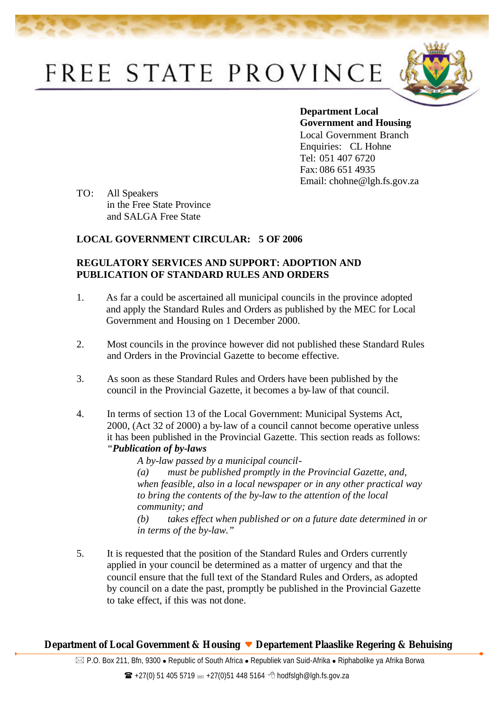## FREE STATE PROVINCE



**Department Local Government and Housing**  Local Government Branch Enquiries: CL Hohne Tel: 051 407 6720 Fax: 086 651 4935 Email: chohne@lgh.fs.gov.za

TO: All Speakers in the Free State Province and SALGA Free State

## **LOCAL GOVERNMENT CIRCULAR: 5 OF 2006**

## **REGULATORY SERVICES AND SUPPORT: ADOPTION AND PUBLICATION OF STANDARD RULES AND ORDERS**

- 1. As far a could be ascertained all municipal councils in the province adopted and apply the Standard Rules and Orders as published by the MEC for Local Government and Housing on 1 December 2000.
- 2. Most councils in the province however did not published these Standard Rules and Orders in the Provincial Gazette to become effective.
- 3. As soon as these Standard Rules and Orders have been published by the council in the Provincial Gazette, it becomes a by-law of that council.
- 4. In terms of section 13 of the Local Government: Municipal Systems Act, 2000, (Act 32 of 2000) a by-law of a council cannot become operative unless it has been published in the Provincial Gazette. This section reads as follows: *"Publication of by-laws*

*A by-law passed by a municipal council- (a) must be published promptly in the Provincial Gazette, and, when feasible, also in a local newspaper or in any other practical way to bring the contents of the by-law to the attention of the local community; and*

*(b) takes effect when published or on a future date determined in or in terms of the by-law."*

5. It is requested that the position of the Standard Rules and Orders currently applied in your council be determined as a matter of urgency and that the council ensure that the full text of the Standard Rules and Orders, as adopted by council on a date the past, promptly be published in the Provincial Gazette to take effect, if this was not done.

## **Department of Local Government & Housing Departement Plaaslike Regering & Behuising**

 $\boxtimes$  P.O. Box 211, Bfn, 9300 • Republic of South Africa • Republiek van Suid-Afrika • Riphabolike ya Afrika Borwa